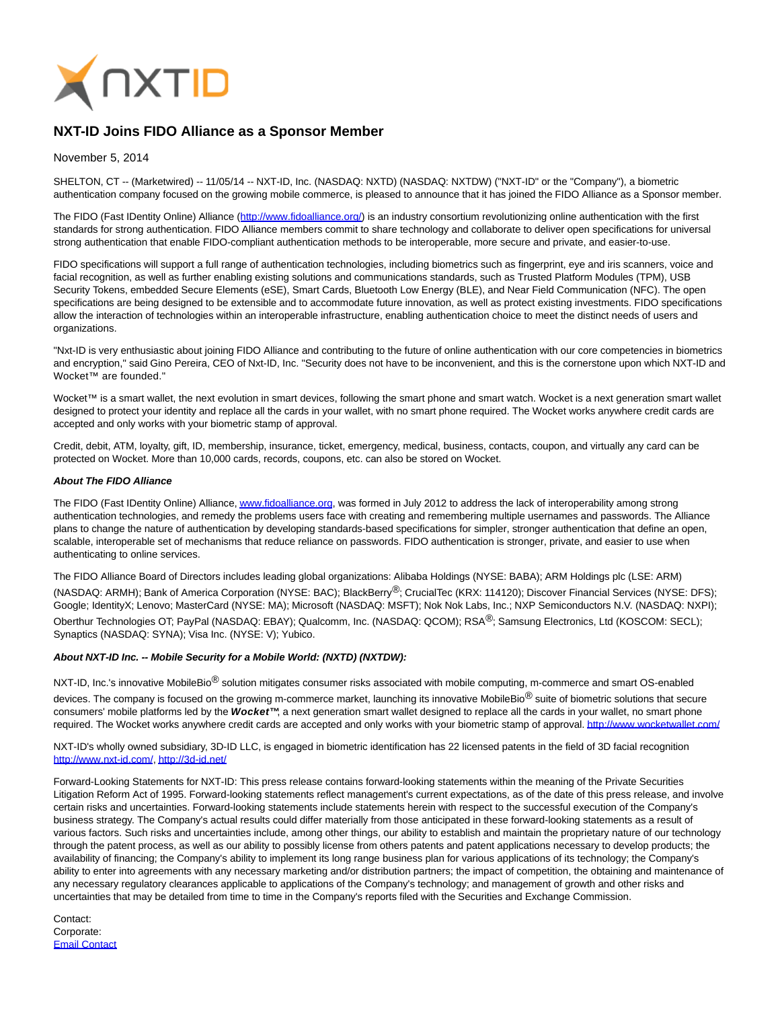

## **NXT-ID Joins FIDO Alliance as a Sponsor Member**

## November 5, 2014

SHELTON, CT -- (Marketwired) -- 11/05/14 -- NXT-ID, Inc. (NASDAQ: NXTD) (NASDAQ: NXTDW) ("NXT-ID" or the "Company"), a biometric authentication company focused on the growing mobile commerce, is pleased to announce that it has joined the FIDO Alliance as a Sponsor member.

The FIDO (Fast IDentity Online) Alliance [\(http://www.fidoalliance.org/\)](http://ctt.marketwire.com/?release=1146542&id=4685179&type=1&url=http%3a%2f%2fwww.fidoalliance.org%2f) is an industry consortium revolutionizing online authentication with the first standards for strong authentication. FIDO Alliance members commit to share technology and collaborate to deliver open specifications for universal strong authentication that enable FIDO-compliant authentication methods to be interoperable, more secure and private, and easier-to-use.

FIDO specifications will support a full range of authentication technologies, including biometrics such as fingerprint, eye and iris scanners, voice and facial recognition, as well as further enabling existing solutions and communications standards, such as Trusted Platform Modules (TPM), USB Security Tokens, embedded Secure Elements (eSE), Smart Cards, Bluetooth Low Energy (BLE), and Near Field Communication (NFC). The open specifications are being designed to be extensible and to accommodate future innovation, as well as protect existing investments. FIDO specifications allow the interaction of technologies within an interoperable infrastructure, enabling authentication choice to meet the distinct needs of users and organizations.

"Nxt-ID is very enthusiastic about joining FIDO Alliance and contributing to the future of online authentication with our core competencies in biometrics and encryption," said Gino Pereira, CEO of Nxt-ID, Inc. "Security does not have to be inconvenient, and this is the cornerstone upon which NXT-ID and Wocket™ are founded."

Wocket™ is a smart wallet, the next evolution in smart devices, following the smart phone and smart watch. Wocket is a next generation smart wallet designed to protect your identity and replace all the cards in your wallet, with no smart phone required. The Wocket works anywhere credit cards are accepted and only works with your biometric stamp of approval.

Credit, debit, ATM, loyalty, gift, ID, membership, insurance, ticket, emergency, medical, business, contacts, coupon, and virtually any card can be protected on Wocket. More than 10,000 cards, records, coupons, etc. can also be stored on Wocket.

## **About The FIDO Alliance**

The FIDO (Fast IDentity Online) Alliance[, www.fidoalliance.org,](http://ctt.marketwire.com/?release=1156378&id=4915654&type=1&url=http%3a%2f%2fwww.fidoalliance.org%2f) was formed in July 2012 to address the lack of interoperability among strong authentication technologies, and remedy the problems users face with creating and remembering multiple usernames and passwords. The Alliance plans to change the nature of authentication by developing standards-based specifications for simpler, stronger authentication that define an open, scalable, interoperable set of mechanisms that reduce reliance on passwords. FIDO authentication is stronger, private, and easier to use when authenticating to online services.

The FIDO Alliance Board of Directors includes leading global organizations: Alibaba Holdings (NYSE: BABA); ARM Holdings plc (LSE: ARM) (NASDAQ: ARMH); Bank of America Corporation (NYSE: BAC); BlackBerry®; CrucialTec (KRX: 114120); Discover Financial Services (NYSE: DFS); Google; IdentityX; Lenovo; MasterCard (NYSE: MA); Microsoft (NASDAQ: MSFT); Nok Nok Labs, Inc.; NXP Semiconductors N.V. (NASDAQ: NXPI); Oberthur Technologies OT; PayPal (NASDAQ: EBAY); Qualcomm, Inc. (NASDAQ: QCOM); RSA<sup>®</sup>; Samsung Electronics, Ltd (KOSCOM: SECL); Synaptics (NASDAQ: SYNA); Visa Inc. (NYSE: V); Yubico.

## **About NXT-ID Inc. -- Mobile Security for a Mobile World: (NXTD) (NXTDW):**

NXT-ID. Inc.'s innovative MobileBio<sup>®</sup> solution mitigates consumer risks associated with mobile computing, m-commerce and smart OS-enabled devices. The company is focused on the growing m-commerce market, launching its innovative MobileBio<sup>®</sup> suite of biometric solutions that secure consumers' mobile platforms led by the **Wocket™**, a next generation smart wallet designed to replace all the cards in your wallet, no smart phone required. The Wocket works anywhere credit cards are accepted and only works with your biometric stamp of approval[. http://www.wocketwallet.com/](http://ctt.marketwire.com/?release=1156378&id=4915657&type=1&url=http%3a%2f%2fwww.wocketwallet.com%2f)

NXT-ID's wholly owned subsidiary, 3D-ID LLC, is engaged in biometric identification has 22 licensed patents in the field of 3D facial recognition [http://www.nxt-id.com/,](http://ctt.marketwire.com/?release=1156378&id=4915660&type=1&url=http%3a%2f%2fwww.nxt-id.com%2f) [http://3d-id.net/](http://ctt.marketwire.com/?release=1156378&id=4915663&type=1&url=http%3a%2f%2f3d-id.net%2f)

Forward-Looking Statements for NXT-ID: This press release contains forward-looking statements within the meaning of the Private Securities Litigation Reform Act of 1995. Forward-looking statements reflect management's current expectations, as of the date of this press release, and involve certain risks and uncertainties. Forward-looking statements include statements herein with respect to the successful execution of the Company's business strategy. The Company's actual results could differ materially from those anticipated in these forward-looking statements as a result of various factors. Such risks and uncertainties include, among other things, our ability to establish and maintain the proprietary nature of our technology through the patent process, as well as our ability to possibly license from others patents and patent applications necessary to develop products; the availability of financing; the Company's ability to implement its long range business plan for various applications of its technology; the Company's ability to enter into agreements with any necessary marketing and/or distribution partners; the impact of competition, the obtaining and maintenance of any necessary regulatory clearances applicable to applications of the Company's technology; and management of growth and other risks and uncertainties that may be detailed from time to time in the Company's reports filed with the Securities and Exchange Commission.

| Contact:             |
|----------------------|
| Corporate:           |
| <b>Email Contact</b> |